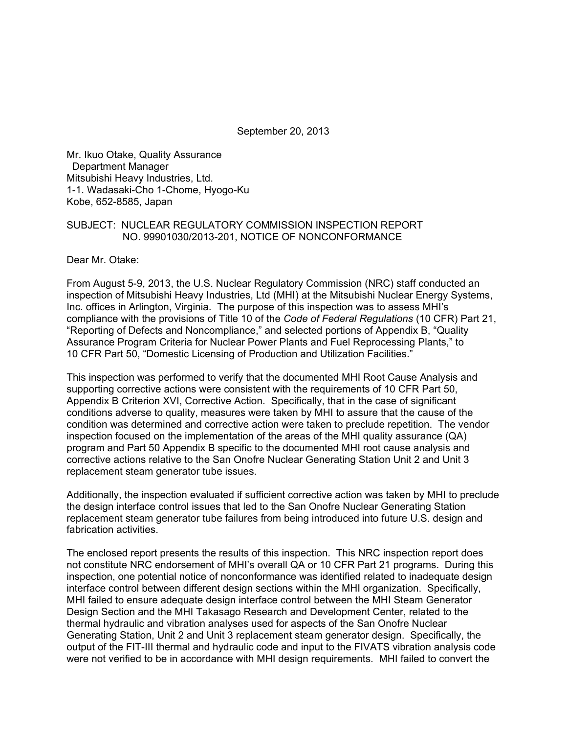September 20, 2013

Mr. Ikuo Otake, Quality Assurance Department Manager Mitsubishi Heavy Industries, Ltd. 1-1. Wadasaki-Cho 1-Chome, Hyogo-Ku Kobe, 652-8585, Japan

#### SUBJECT: NUCLEAR REGULATORY COMMISSION INSPECTION REPORT NO. 99901030/2013-201, NOTICE OF NONCONFORMANCE

Dear Mr. Otake:

From August 5-9, 2013, the U.S. Nuclear Regulatory Commission (NRC) staff conducted an inspection of Mitsubishi Heavy Industries, Ltd (MHI) at the Mitsubishi Nuclear Energy Systems, Inc. offices in Arlington, Virginia. The purpose of this inspection was to assess MHI's compliance with the provisions of Title 10 of the *Code of Federal Regulations* (10 CFR) Part 21, "Reporting of Defects and Noncompliance," and selected portions of Appendix B, "Quality Assurance Program Criteria for Nuclear Power Plants and Fuel Reprocessing Plants," to 10 CFR Part 50, "Domestic Licensing of Production and Utilization Facilities."

This inspection was performed to verify that the documented MHI Root Cause Analysis and supporting corrective actions were consistent with the requirements of 10 CFR Part 50, Appendix B Criterion XVI, Corrective Action. Specifically, that in the case of significant conditions adverse to quality, measures were taken by MHI to assure that the cause of the condition was determined and corrective action were taken to preclude repetition. The vendor inspection focused on the implementation of the areas of the MHI quality assurance (QA) program and Part 50 Appendix B specific to the documented MHI root cause analysis and corrective actions relative to the San Onofre Nuclear Generating Station Unit 2 and Unit 3 replacement steam generator tube issues.

Additionally, the inspection evaluated if sufficient corrective action was taken by MHI to preclude the design interface control issues that led to the San Onofre Nuclear Generating Station replacement steam generator tube failures from being introduced into future U.S. design and fabrication activities.

The enclosed report presents the results of this inspection. This NRC inspection report does not constitute NRC endorsement of MHI's overall QA or 10 CFR Part 21 programs. During this inspection, one potential notice of nonconformance was identified related to inadequate design interface control between different design sections within the MHI organization. Specifically, MHI failed to ensure adequate design interface control between the MHI Steam Generator Design Section and the MHI Takasago Research and Development Center, related to the thermal hydraulic and vibration analyses used for aspects of the San Onofre Nuclear Generating Station, Unit 2 and Unit 3 replacement steam generator design. Specifically, the output of the FIT-III thermal and hydraulic code and input to the FIVATS vibration analysis code were not verified to be in accordance with MHI design requirements. MHI failed to convert the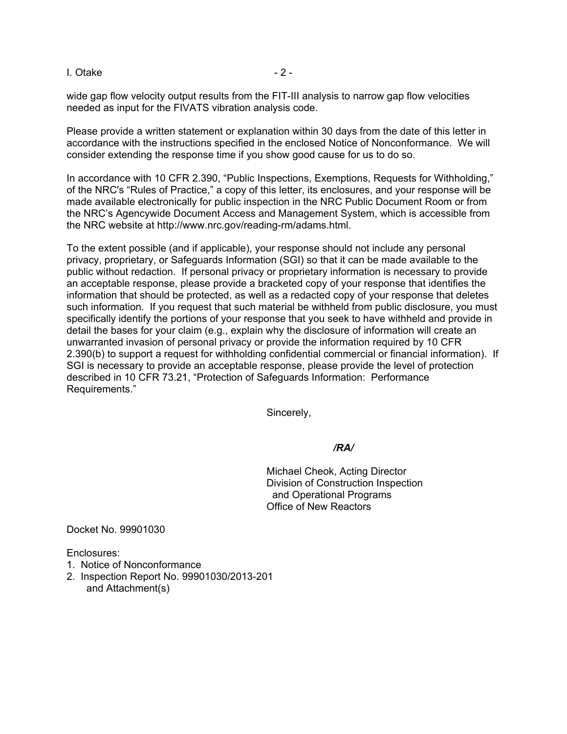#### $I. Otake$  - 2 -

wide gap flow velocity output results from the FIT-III analysis to narrow gap flow velocities needed as input for the FIVATS vibration analysis code.

Please provide a written statement or explanation within 30 days from the date of this letter in accordance with the instructions specified in the enclosed Notice of Nonconformance. We will consider extending the response time if you show good cause for us to do so.

In accordance with 10 CFR 2.390, "Public Inspections, Exemptions, Requests for Withholding," of the NRC's "Rules of Practice," a copy of this letter, its enclosures, and your response will be made available electronically for public inspection in the NRC Public Document Room or from the NRC's Agencywide Document Access and Management System, which is accessible from the NRC website at http://www.nrc.gov/reading-rm/adams.html.

To the extent possible (and if applicable), your response should not include any personal privacy, proprietary, or Safeguards Information (SGI) so that it can be made available to the public without redaction. If personal privacy or proprietary information is necessary to provide an acceptable response, please provide a bracketed copy of your response that identifies the information that should be protected, as well as a redacted copy of your response that deletes such information. If you request that such material be withheld from public disclosure, you must specifically identify the portions of your response that you seek to have withheld and provide in detail the bases for your claim (e.g., explain why the disclosure of information will create an unwarranted invasion of personal privacy or provide the information required by 10 CFR 2.390(b) to support a request for withholding confidential commercial or financial information). If SGI is necessary to provide an acceptable response, please provide the level of protection described in 10 CFR 73.21, "Protection of Safeguards Information: Performance Requirements."

Sincerely,

*/RA/* 

Michael Cheok, Acting Director Division of Construction Inspection and Operational Programs Office of New Reactors

Docket No. 99901030

Enclosures:

- 1. Notice of Nonconformance
- 2. Inspection Report No. 99901030/2013-201 and Attachment(s)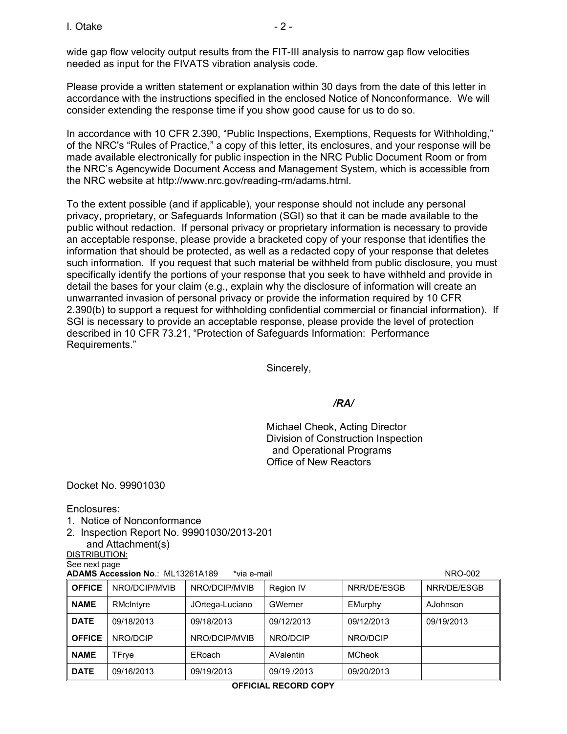wide gap flow velocity output results from the FIT-III analysis to narrow gap flow velocities needed as input for the FIVATS vibration analysis code.

Please provide a written statement or explanation within 30 days from the date of this letter in accordance with the instructions specified in the enclosed Notice of Nonconformance. We will consider extending the response time if you show good cause for us to do so.

In accordance with 10 CFR 2.390, "Public Inspections, Exemptions, Requests for Withholding," of the NRC's "Rules of Practice," a copy of this letter, its enclosures, and your response will be made available electronically for public inspection in the NRC Public Document Room or from the NRC's Agencywide Document Access and Management System, which is accessible from the NRC website at http://www.nrc.gov/reading-rm/adams.html.

To the extent possible (and if applicable), your response should not include any personal privacy, proprietary, or Safeguards Information (SGI) so that it can be made available to the public without redaction. If personal privacy or proprietary information is necessary to provide an acceptable response, please provide a bracketed copy of your response that identifies the information that should be protected, as well as a redacted copy of your response that deletes such information. If you request that such material be withheld from public disclosure, you must specifically identify the portions of your response that you seek to have withheld and provide in detail the bases for your claim (e.g., explain why the disclosure of information will create an unwarranted invasion of personal privacy or provide the information required by 10 CFR 2.390(b) to support a request for withholding confidential commercial or financial information). If SGI is necessary to provide an acceptable response, please provide the level of protection described in 10 CFR 73.21, "Protection of Safeguards Information: Performance Requirements."

Sincerely,

#### */RA/*

Michael Cheok, Acting Director Division of Construction Inspection and Operational Programs Office of New Reactors

Docket No. 99901030

Enclosures:

- 1. Notice of Nonconformance
- 2. Inspection Report No. 99901030/2013-201
- and Attachment(s) DISTRIBUTION:

See next page

**ADAMS Accession No**.: MI 13261A189 \*via e-mail NRO-002

| <b>OFFICE</b> | NRO/DCIP/MVIB | NRO/DCIP/MVIB   | Region IV   | NRR/DE/ESGB   | NRR/DE/ESGB |
|---------------|---------------|-----------------|-------------|---------------|-------------|
| <b>NAME</b>   | RMcIntyre     | JOrtega-Luciano | GWerner     | EMurphy       | AJohnson    |
| <b>DATE</b>   | 09/18/2013    | 09/18/2013      | 09/12/2013  | 09/12/2013    | 09/19/2013  |
| <b>OFFICE</b> | NRO/DCIP      | NRO/DCIP/MVIB   | NRO/DCIP    | NRO/DCIP      |             |
| <b>NAME</b>   | TFrye         | ERoach          | AValentin   | <b>MCheok</b> |             |
| <b>DATE</b>   | 09/16/2013    | 09/19/2013      | 09/19 /2013 | 09/20/2013    |             |

#### **OFFICIAL RECORD COPY**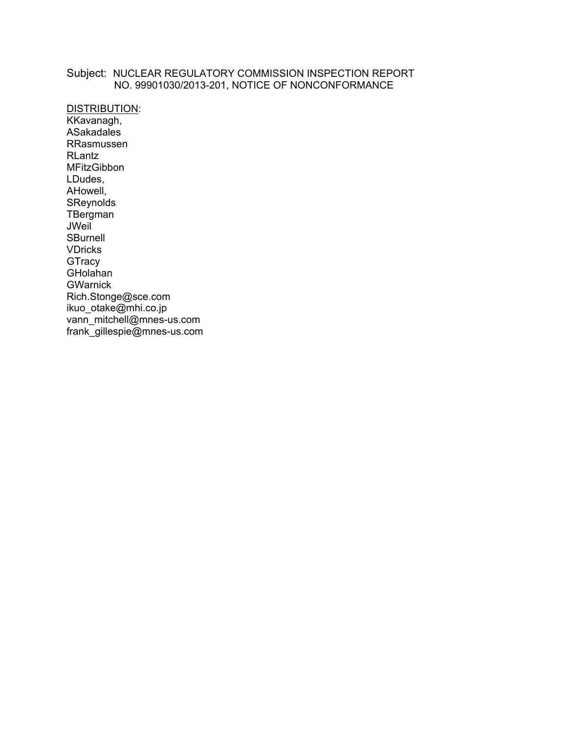### Subject: NUCLEAR REGULATORY COMMISSION INSPECTION REPORT NO. 99901030/2013-201, NOTICE OF NONCONFORMANCE

DISTRIBUTION: KKavanagh, ASakadales RRasmussen RLantz MFitzGibbon LDudes, AHowell, SReynolds **TBergman JWeil SBurnell** VDricks **GTracy** GHolahan **GWarnick** Rich.Stonge@sce.com ikuo\_otake@mhi.co.jp vann\_mitchell@mnes-us.com frank\_gillespie@mnes-us.com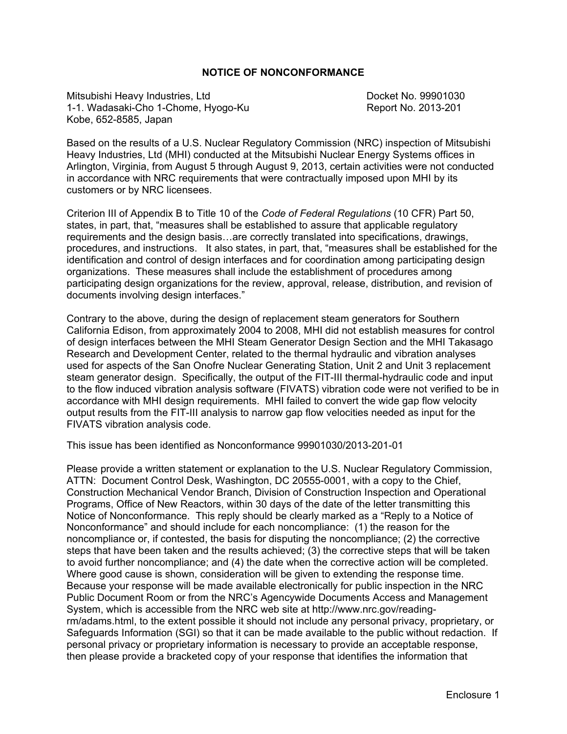#### **NOTICE OF NONCONFORMANCE**

Mitsubishi Heavy Industries, Ltd Docket No. 99901030 1-1. Wadasaki-Cho 1-Chome, Hyogo-Ku Report No. 2013-201 Kobe, 652-8585, Japan

Based on the results of a U.S. Nuclear Regulatory Commission (NRC) inspection of Mitsubishi Heavy Industries, Ltd (MHI) conducted at the Mitsubishi Nuclear Energy Systems offices in Arlington, Virginia, from August 5 through August 9, 2013, certain activities were not conducted in accordance with NRC requirements that were contractually imposed upon MHI by its customers or by NRC licensees.

Criterion III of Appendix B to Title 10 of the *Code of Federal Regulations* (10 CFR) Part 50, states, in part, that, "measures shall be established to assure that applicable regulatory requirements and the design basis…are correctly translated into specifications, drawings, procedures, and instructions. It also states, in part, that, "measures shall be established for the identification and control of design interfaces and for coordination among participating design organizations. These measures shall include the establishment of procedures among participating design organizations for the review, approval, release, distribution, and revision of documents involving design interfaces."

Contrary to the above, during the design of replacement steam generators for Southern California Edison, from approximately 2004 to 2008, MHI did not establish measures for control of design interfaces between the MHI Steam Generator Design Section and the MHI Takasago Research and Development Center, related to the thermal hydraulic and vibration analyses used for aspects of the San Onofre Nuclear Generating Station, Unit 2 and Unit 3 replacement steam generator design. Specifically, the output of the FIT-III thermal-hydraulic code and input to the flow induced vibration analysis software (FIVATS) vibration code were not verified to be in accordance with MHI design requirements. MHI failed to convert the wide gap flow velocity output results from the FIT-III analysis to narrow gap flow velocities needed as input for the FIVATS vibration analysis code.

This issue has been identified as Nonconformance 99901030/2013-201-01

Please provide a written statement or explanation to the U.S. Nuclear Regulatory Commission, ATTN: Document Control Desk, Washington, DC 20555-0001, with a copy to the Chief, Construction Mechanical Vendor Branch, Division of Construction Inspection and Operational Programs, Office of New Reactors, within 30 days of the date of the letter transmitting this Notice of Nonconformance. This reply should be clearly marked as a "Reply to a Notice of Nonconformance" and should include for each noncompliance: (1) the reason for the noncompliance or, if contested, the basis for disputing the noncompliance; (2) the corrective steps that have been taken and the results achieved; (3) the corrective steps that will be taken to avoid further noncompliance; and (4) the date when the corrective action will be completed. Where good cause is shown, consideration will be given to extending the response time. Because your response will be made available electronically for public inspection in the NRC Public Document Room or from the NRC's Agencywide Documents Access and Management System, which is accessible from the NRC web site at http://www.nrc.gov/readingrm/adams.html, to the extent possible it should not include any personal privacy, proprietary, or Safeguards Information (SGI) so that it can be made available to the public without redaction. If personal privacy or proprietary information is necessary to provide an acceptable response, then please provide a bracketed copy of your response that identifies the information that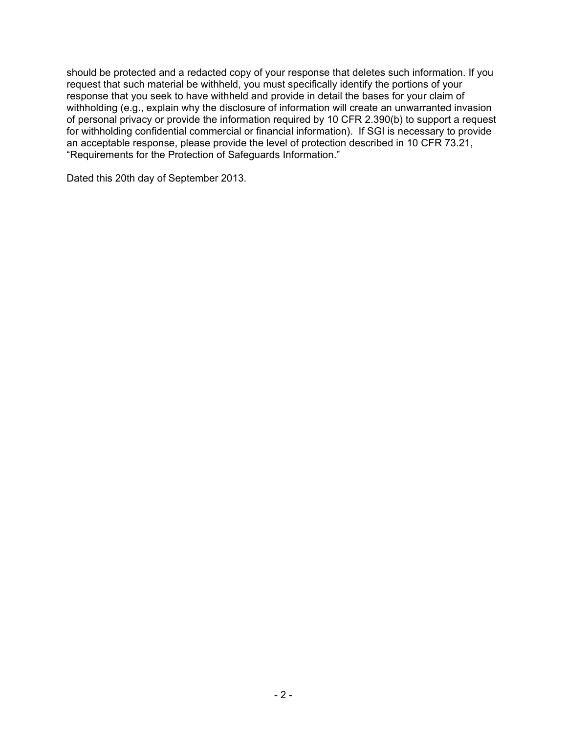should be protected and a redacted copy of your response that deletes such information. If you request that such material be withheld, you must specifically identify the portions of your response that you seek to have withheld and provide in detail the bases for your claim of withholding (e.g., explain why the disclosure of information will create an unwarranted invasion of personal privacy or provide the information required by 10 CFR 2.390(b) to support a request for withholding confidential commercial or financial information). If SGI is necessary to provide an acceptable response, please provide the level of protection described in 10 CFR 73.21, "Requirements for the Protection of Safeguards Information."

Dated this 20th day of September 2013.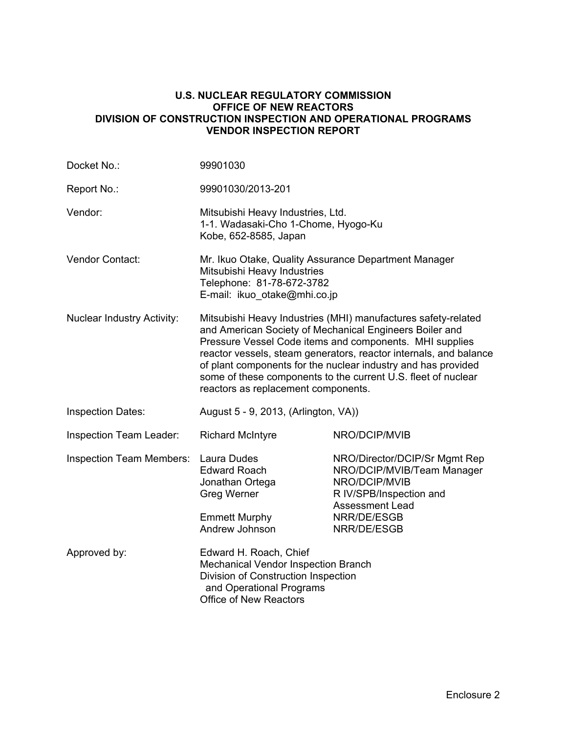#### **U.S. NUCLEAR REGULATORY COMMISSION OFFICE OF NEW REACTORS DIVISION OF CONSTRUCTION INSPECTION AND OPERATIONAL PROGRAMS VENDOR INSPECTION REPORT**

| Docket No.:                       | 99901030                                                                                                                                                                                                                                                                                                                                                                                                                          |                                                                                                                                                                 |  |
|-----------------------------------|-----------------------------------------------------------------------------------------------------------------------------------------------------------------------------------------------------------------------------------------------------------------------------------------------------------------------------------------------------------------------------------------------------------------------------------|-----------------------------------------------------------------------------------------------------------------------------------------------------------------|--|
| Report No.:                       | 99901030/2013-201                                                                                                                                                                                                                                                                                                                                                                                                                 |                                                                                                                                                                 |  |
| Vendor:                           | Mitsubishi Heavy Industries, Ltd.<br>1-1. Wadasaki-Cho 1-Chome, Hyogo-Ku<br>Kobe, 652-8585, Japan                                                                                                                                                                                                                                                                                                                                 |                                                                                                                                                                 |  |
| Vendor Contact:                   | Mr. Ikuo Otake, Quality Assurance Department Manager<br>Mitsubishi Heavy Industries<br>Telephone: 81-78-672-3782<br>E-mail: ikuo otake@mhi.co.jp                                                                                                                                                                                                                                                                                  |                                                                                                                                                                 |  |
| <b>Nuclear Industry Activity:</b> | Mitsubishi Heavy Industries (MHI) manufactures safety-related<br>and American Society of Mechanical Engineers Boiler and<br>Pressure Vessel Code items and components. MHI supplies<br>reactor vessels, steam generators, reactor internals, and balance<br>of plant components for the nuclear industry and has provided<br>some of these components to the current U.S. fleet of nuclear<br>reactors as replacement components. |                                                                                                                                                                 |  |
| <b>Inspection Dates:</b>          | August 5 - 9, 2013, (Arlington, VA))                                                                                                                                                                                                                                                                                                                                                                                              |                                                                                                                                                                 |  |
| <b>Inspection Team Leader:</b>    | <b>Richard McIntyre</b>                                                                                                                                                                                                                                                                                                                                                                                                           | NRO/DCIP/MVIB                                                                                                                                                   |  |
| <b>Inspection Team Members:</b>   | Laura Dudes<br><b>Edward Roach</b><br>Jonathan Ortega<br>Greg Werner<br><b>Emmett Murphy</b><br>Andrew Johnson                                                                                                                                                                                                                                                                                                                    | NRO/Director/DCIP/Sr Mgmt Rep<br>NRO/DCIP/MVIB/Team Manager<br>NRO/DCIP/MVIB<br>R IV/SPB/Inspection and<br><b>Assessment Lead</b><br>NRR/DE/ESGB<br>NRR/DE/ESGB |  |
| Approved by:                      | Edward H. Roach, Chief<br>Mechanical Vendor Inspection Branch<br>Division of Construction Inspection<br>and Operational Programs<br><b>Office of New Reactors</b>                                                                                                                                                                                                                                                                 |                                                                                                                                                                 |  |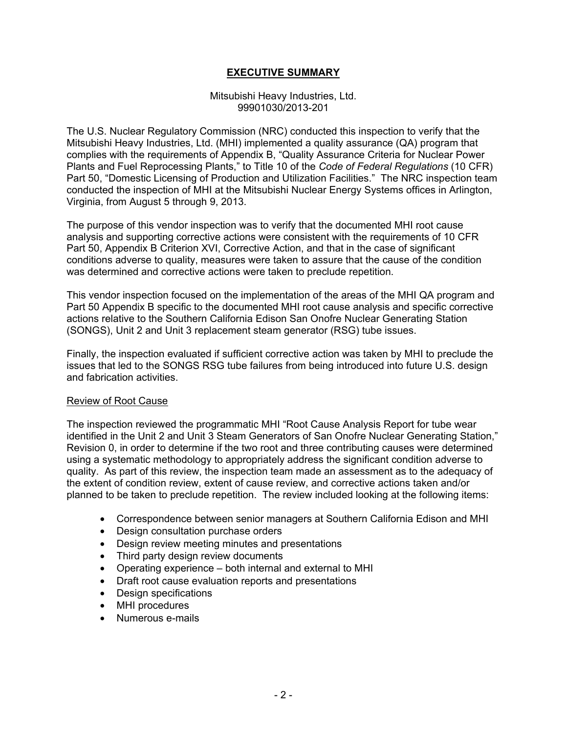### **EXECUTIVE SUMMARY**

#### Mitsubishi Heavy Industries, Ltd. 99901030/2013-201

The U.S. Nuclear Regulatory Commission (NRC) conducted this inspection to verify that the Mitsubishi Heavy Industries, Ltd. (MHI) implemented a quality assurance (QA) program that complies with the requirements of Appendix B, "Quality Assurance Criteria for Nuclear Power Plants and Fuel Reprocessing Plants," to Title 10 of the *Code of Federal Regulations* (10 CFR) Part 50, "Domestic Licensing of Production and Utilization Facilities." The NRC inspection team conducted the inspection of MHI at the Mitsubishi Nuclear Energy Systems offices in Arlington, Virginia, from August 5 through 9, 2013.

The purpose of this vendor inspection was to verify that the documented MHI root cause analysis and supporting corrective actions were consistent with the requirements of 10 CFR Part 50, Appendix B Criterion XVI, Corrective Action, and that in the case of significant conditions adverse to quality, measures were taken to assure that the cause of the condition was determined and corrective actions were taken to preclude repetition.

This vendor inspection focused on the implementation of the areas of the MHI QA program and Part 50 Appendix B specific to the documented MHI root cause analysis and specific corrective actions relative to the Southern California Edison San Onofre Nuclear Generating Station (SONGS), Unit 2 and Unit 3 replacement steam generator (RSG) tube issues.

Finally, the inspection evaluated if sufficient corrective action was taken by MHI to preclude the issues that led to the SONGS RSG tube failures from being introduced into future U.S. design and fabrication activities.

#### Review of Root Cause

The inspection reviewed the programmatic MHI "Root Cause Analysis Report for tube wear identified in the Unit 2 and Unit 3 Steam Generators of San Onofre Nuclear Generating Station," Revision 0, in order to determine if the two root and three contributing causes were determined using a systematic methodology to appropriately address the significant condition adverse to quality. As part of this review, the inspection team made an assessment as to the adequacy of the extent of condition review, extent of cause review, and corrective actions taken and/or planned to be taken to preclude repetition. The review included looking at the following items:

- Correspondence between senior managers at Southern California Edison and MHI
- Design consultation purchase orders
- Design review meeting minutes and presentations
- Third party design review documents
- Operating experience both internal and external to MHI
- Draft root cause evaluation reports and presentations
- Design specifications
- MHI procedures
- Numerous e-mails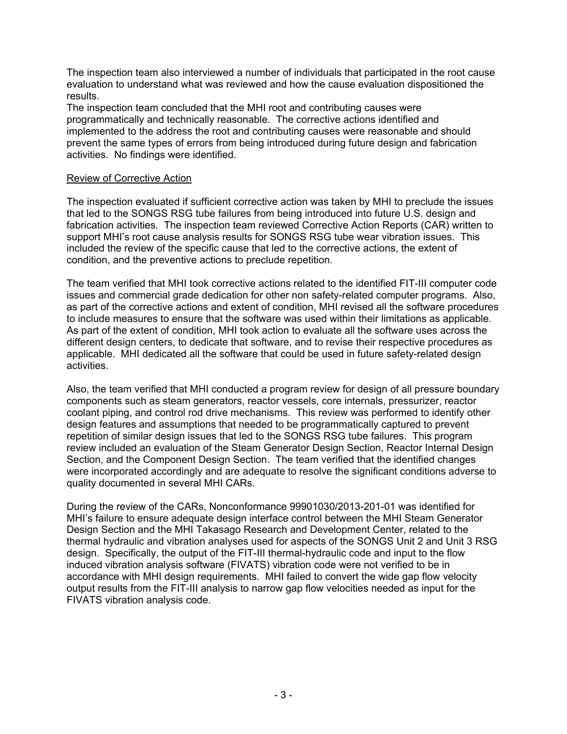The inspection team also interviewed a number of individuals that participated in the root cause evaluation to understand what was reviewed and how the cause evaluation dispositioned the results.

The inspection team concluded that the MHI root and contributing causes were programmatically and technically reasonable. The corrective actions identified and implemented to the address the root and contributing causes were reasonable and should prevent the same types of errors from being introduced during future design and fabrication activities. No findings were identified.

#### Review of Corrective Action

The inspection evaluated if sufficient corrective action was taken by MHI to preclude the issues that led to the SONGS RSG tube failures from being introduced into future U.S. design and fabrication activities. The inspection team reviewed Corrective Action Reports (CAR) written to support MHI's root cause analysis results for SONGS RSG tube wear vibration issues. This included the review of the specific cause that led to the corrective actions, the extent of condition, and the preventive actions to preclude repetition.

The team verified that MHI took corrective actions related to the identified FIT-III computer code issues and commercial grade dedication for other non safety-related computer programs. Also, as part of the corrective actions and extent of condition, MHI revised all the software procedures to include measures to ensure that the software was used within their limitations as applicable. As part of the extent of condition, MHI took action to evaluate all the software uses across the different design centers, to dedicate that software, and to revise their respective procedures as applicable. MHI dedicated all the software that could be used in future safety-related design activities.

Also, the team verified that MHI conducted a program review for design of all pressure boundary components such as steam generators, reactor vessels, core internals, pressurizer, reactor coolant piping, and control rod drive mechanisms. This review was performed to identify other design features and assumptions that needed to be programmatically captured to prevent repetition of similar design issues that led to the SONGS RSG tube failures. This program review included an evaluation of the Steam Generator Design Section, Reactor Internal Design Section, and the Component Design Section. The team verified that the identified changes were incorporated accordingly and are adequate to resolve the significant conditions adverse to quality documented in several MHI CARs.

During the review of the CARs, Nonconformance 99901030/2013-201-01 was identified for MHI's failure to ensure adequate design interface control between the MHI Steam Generator Design Section and the MHI Takasago Research and Development Center, related to the thermal hydraulic and vibration analyses used for aspects of the SONGS Unit 2 and Unit 3 RSG design. Specifically, the output of the FIT-III thermal-hydraulic code and input to the flow induced vibration analysis software (FIVATS) vibration code were not verified to be in accordance with MHI design requirements. MHI failed to convert the wide gap flow velocity output results from the FIT-III analysis to narrow gap flow velocities needed as input for the FIVATS vibration analysis code.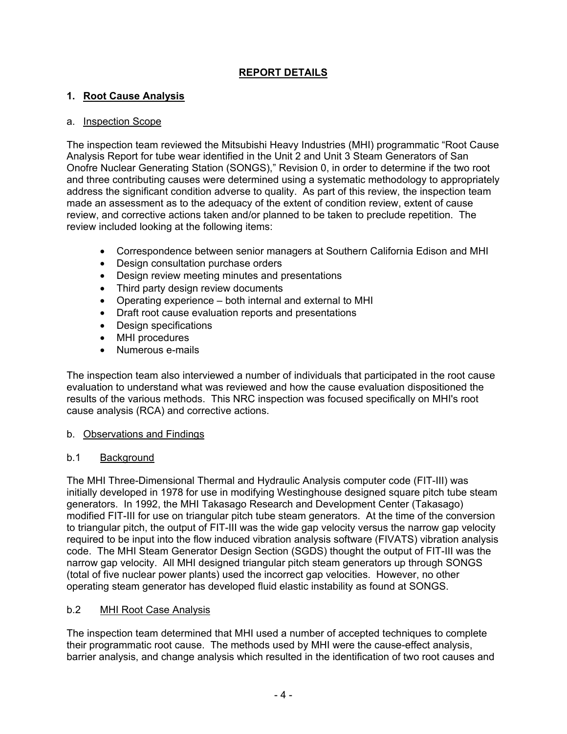# **REPORT DETAILS**

### **1. Root Cause Analysis**

### a. Inspection Scope

The inspection team reviewed the Mitsubishi Heavy Industries (MHI) programmatic "Root Cause Analysis Report for tube wear identified in the Unit 2 and Unit 3 Steam Generators of San Onofre Nuclear Generating Station (SONGS)," Revision 0, in order to determine if the two root and three contributing causes were determined using a systematic methodology to appropriately address the significant condition adverse to quality. As part of this review, the inspection team made an assessment as to the adequacy of the extent of condition review, extent of cause review, and corrective actions taken and/or planned to be taken to preclude repetition. The review included looking at the following items:

- Correspondence between senior managers at Southern California Edison and MHI
- Design consultation purchase orders
- Design review meeting minutes and presentations
- Third party design review documents
- Operating experience both internal and external to MHI
- Draft root cause evaluation reports and presentations
- Design specifications
- MHI procedures
- Numerous e-mails

The inspection team also interviewed a number of individuals that participated in the root cause evaluation to understand what was reviewed and how the cause evaluation dispositioned the results of the various methods. This NRC inspection was focused specifically on MHI's root cause analysis (RCA) and corrective actions.

### b. Observations and Findings

### b.1 Background

The MHI Three-Dimensional Thermal and Hydraulic Analysis computer code (FIT-III) was initially developed in 1978 for use in modifying Westinghouse designed square pitch tube steam generators. In 1992, the MHI Takasago Research and Development Center (Takasago) modified FIT-III for use on triangular pitch tube steam generators. At the time of the conversion to triangular pitch, the output of FIT-III was the wide gap velocity versus the narrow gap velocity required to be input into the flow induced vibration analysis software (FIVATS) vibration analysis code. The MHI Steam Generator Design Section (SGDS) thought the output of FIT-III was the narrow gap velocity. All MHI designed triangular pitch steam generators up through SONGS (total of five nuclear power plants) used the incorrect gap velocities. However, no other operating steam generator has developed fluid elastic instability as found at SONGS.

### b.2 MHI Root Case Analysis

The inspection team determined that MHI used a number of accepted techniques to complete their programmatic root cause. The methods used by MHI were the cause-effect analysis, barrier analysis, and change analysis which resulted in the identification of two root causes and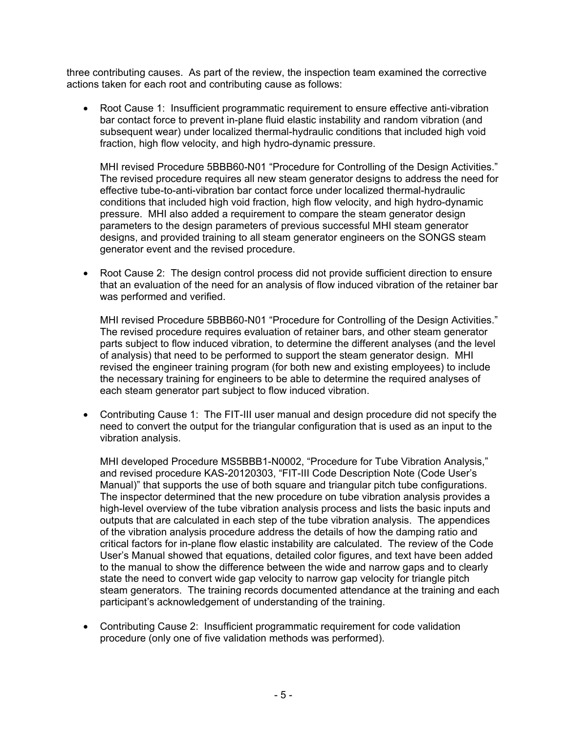three contributing causes. As part of the review, the inspection team examined the corrective actions taken for each root and contributing cause as follows:

• Root Cause 1: Insufficient programmatic requirement to ensure effective anti-vibration bar contact force to prevent in-plane fluid elastic instability and random vibration (and subsequent wear) under localized thermal-hydraulic conditions that included high void fraction, high flow velocity, and high hydro-dynamic pressure.

MHI revised Procedure 5BBB60-N01 "Procedure for Controlling of the Design Activities." The revised procedure requires all new steam generator designs to address the need for effective tube-to-anti-vibration bar contact force under localized thermal-hydraulic conditions that included high void fraction, high flow velocity, and high hydro-dynamic pressure. MHI also added a requirement to compare the steam generator design parameters to the design parameters of previous successful MHI steam generator designs, and provided training to all steam generator engineers on the SONGS steam generator event and the revised procedure.

• Root Cause 2: The design control process did not provide sufficient direction to ensure that an evaluation of the need for an analysis of flow induced vibration of the retainer bar was performed and verified.

MHI revised Procedure 5BBB60-N01 "Procedure for Controlling of the Design Activities." The revised procedure requires evaluation of retainer bars, and other steam generator parts subject to flow induced vibration, to determine the different analyses (and the level of analysis) that need to be performed to support the steam generator design. MHI revised the engineer training program (for both new and existing employees) to include the necessary training for engineers to be able to determine the required analyses of each steam generator part subject to flow induced vibration.

• Contributing Cause 1: The FIT-III user manual and design procedure did not specify the need to convert the output for the triangular configuration that is used as an input to the vibration analysis.

MHI developed Procedure MS5BBB1-N0002, "Procedure for Tube Vibration Analysis," and revised procedure KAS-20120303, "FIT-III Code Description Note (Code User's Manual)" that supports the use of both square and triangular pitch tube configurations. The inspector determined that the new procedure on tube vibration analysis provides a high-level overview of the tube vibration analysis process and lists the basic inputs and outputs that are calculated in each step of the tube vibration analysis. The appendices of the vibration analysis procedure address the details of how the damping ratio and critical factors for in-plane flow elastic instability are calculated. The review of the Code User's Manual showed that equations, detailed color figures, and text have been added to the manual to show the difference between the wide and narrow gaps and to clearly state the need to convert wide gap velocity to narrow gap velocity for triangle pitch steam generators. The training records documented attendance at the training and each participant's acknowledgement of understanding of the training.

• Contributing Cause 2: Insufficient programmatic requirement for code validation procedure (only one of five validation methods was performed).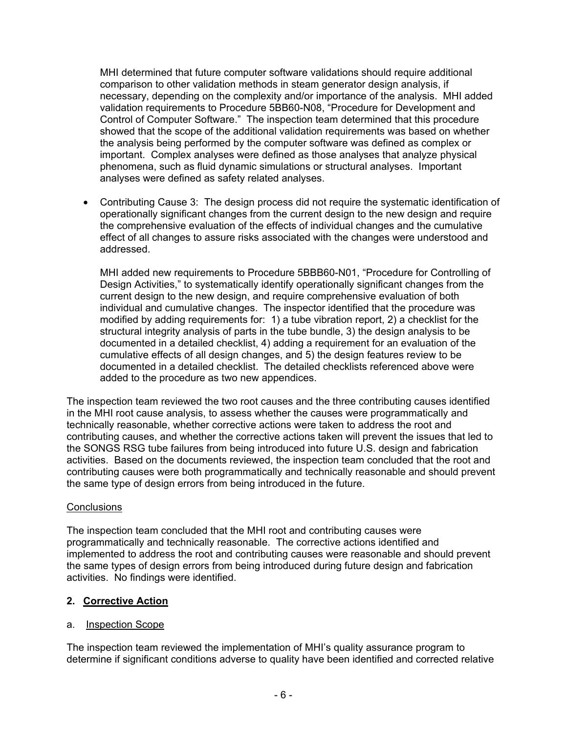MHI determined that future computer software validations should require additional comparison to other validation methods in steam generator design analysis, if necessary, depending on the complexity and/or importance of the analysis. MHI added validation requirements to Procedure 5BB60-N08, "Procedure for Development and Control of Computer Software." The inspection team determined that this procedure showed that the scope of the additional validation requirements was based on whether the analysis being performed by the computer software was defined as complex or important. Complex analyses were defined as those analyses that analyze physical phenomena, such as fluid dynamic simulations or structural analyses. Important analyses were defined as safety related analyses.

• Contributing Cause 3: The design process did not require the systematic identification of operationally significant changes from the current design to the new design and require the comprehensive evaluation of the effects of individual changes and the cumulative effect of all changes to assure risks associated with the changes were understood and addressed.

MHI added new requirements to Procedure 5BBB60-N01, "Procedure for Controlling of Design Activities," to systematically identify operationally significant changes from the current design to the new design, and require comprehensive evaluation of both individual and cumulative changes. The inspector identified that the procedure was modified by adding requirements for: 1) a tube vibration report, 2) a checklist for the structural integrity analysis of parts in the tube bundle, 3) the design analysis to be documented in a detailed checklist, 4) adding a requirement for an evaluation of the cumulative effects of all design changes, and 5) the design features review to be documented in a detailed checklist. The detailed checklists referenced above were added to the procedure as two new appendices.

The inspection team reviewed the two root causes and the three contributing causes identified in the MHI root cause analysis, to assess whether the causes were programmatically and technically reasonable, whether corrective actions were taken to address the root and contributing causes, and whether the corrective actions taken will prevent the issues that led to the SONGS RSG tube failures from being introduced into future U.S. design and fabrication activities. Based on the documents reviewed, the inspection team concluded that the root and contributing causes were both programmatically and technically reasonable and should prevent the same type of design errors from being introduced in the future.

#### **Conclusions**

The inspection team concluded that the MHI root and contributing causes were programmatically and technically reasonable. The corrective actions identified and implemented to address the root and contributing causes were reasonable and should prevent the same types of design errors from being introduced during future design and fabrication activities. No findings were identified.

# **2. Corrective Action**

### a. Inspection Scope

The inspection team reviewed the implementation of MHI's quality assurance program to determine if significant conditions adverse to quality have been identified and corrected relative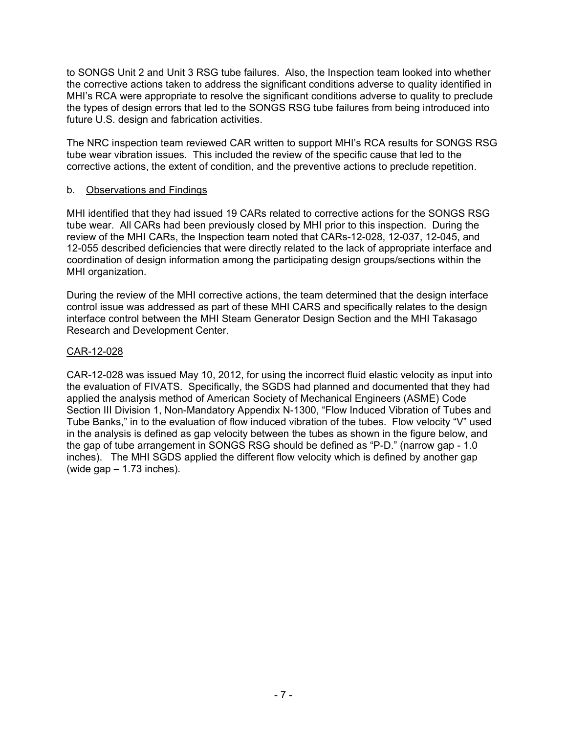to SONGS Unit 2 and Unit 3 RSG tube failures. Also, the Inspection team looked into whether the corrective actions taken to address the significant conditions adverse to quality identified in MHI's RCA were appropriate to resolve the significant conditions adverse to quality to preclude the types of design errors that led to the SONGS RSG tube failures from being introduced into future U.S. design and fabrication activities.

The NRC inspection team reviewed CAR written to support MHI's RCA results for SONGS RSG tube wear vibration issues. This included the review of the specific cause that led to the corrective actions, the extent of condition, and the preventive actions to preclude repetition.

#### b. Observations and Findings

MHI identified that they had issued 19 CARs related to corrective actions for the SONGS RSG tube wear. All CARs had been previously closed by MHI prior to this inspection. During the review of the MHI CARs, the Inspection team noted that CARs-12-028, 12-037, 12-045, and 12-055 described deficiencies that were directly related to the lack of appropriate interface and coordination of design information among the participating design groups/sections within the MHI organization.

During the review of the MHI corrective actions, the team determined that the design interface control issue was addressed as part of these MHI CARS and specifically relates to the design interface control between the MHI Steam Generator Design Section and the MHI Takasago Research and Development Center.

#### CAR-12-028

CAR-12-028 was issued May 10, 2012, for using the incorrect fluid elastic velocity as input into the evaluation of FIVATS. Specifically, the SGDS had planned and documented that they had applied the analysis method of American Society of Mechanical Engineers (ASME) Code Section III Division 1, Non-Mandatory Appendix N-1300, "Flow Induced Vibration of Tubes and Tube Banks," in to the evaluation of flow induced vibration of the tubes. Flow velocity "V" used in the analysis is defined as gap velocity between the tubes as shown in the figure below, and the gap of tube arrangement in SONGS RSG should be defined as "P-D." (narrow gap - 1.0 inches). The MHI SGDS applied the different flow velocity which is defined by another gap (wide gap  $-1.73$  inches).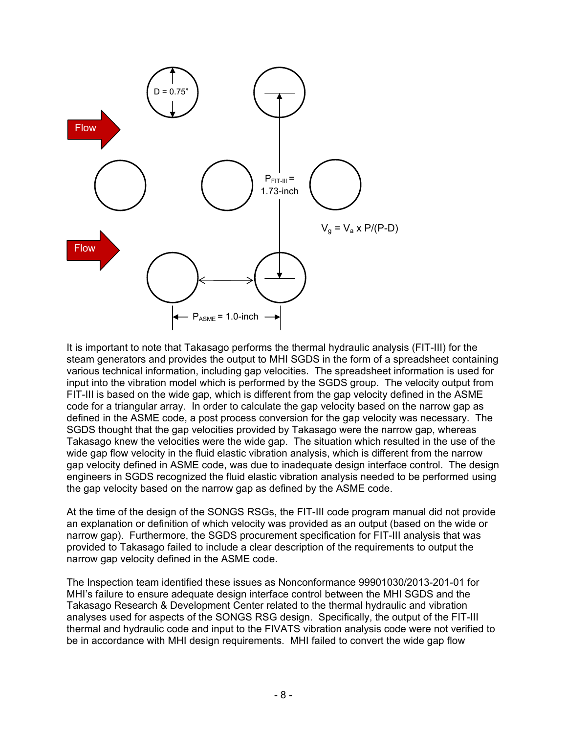

It is important to note that Takasago performs the thermal hydraulic analysis (FIT-III) for the steam generators and provides the output to MHI SGDS in the form of a spreadsheet containing various technical information, including gap velocities. The spreadsheet information is used for input into the vibration model which is performed by the SGDS group. The velocity output from FIT-III is based on the wide gap, which is different from the gap velocity defined in the ASME code for a triangular array. In order to calculate the gap velocity based on the narrow gap as defined in the ASME code, a post process conversion for the gap velocity was necessary. The SGDS thought that the gap velocities provided by Takasago were the narrow gap, whereas Takasago knew the velocities were the wide gap. The situation which resulted in the use of the wide gap flow velocity in the fluid elastic vibration analysis, which is different from the narrow gap velocity defined in ASME code, was due to inadequate design interface control. The design engineers in SGDS recognized the fluid elastic vibration analysis needed to be performed using the gap velocity based on the narrow gap as defined by the ASME code.

At the time of the design of the SONGS RSGs, the FIT-III code program manual did not provide an explanation or definition of which velocity was provided as an output (based on the wide or narrow gap). Furthermore, the SGDS procurement specification for FIT-III analysis that was provided to Takasago failed to include a clear description of the requirements to output the narrow gap velocity defined in the ASME code.

The Inspection team identified these issues as Nonconformance 99901030/2013-201-01 for MHI's failure to ensure adequate design interface control between the MHI SGDS and the Takasago Research & Development Center related to the thermal hydraulic and vibration analyses used for aspects of the SONGS RSG design. Specifically, the output of the FIT-III thermal and hydraulic code and input to the FIVATS vibration analysis code were not verified to be in accordance with MHI design requirements. MHI failed to convert the wide gap flow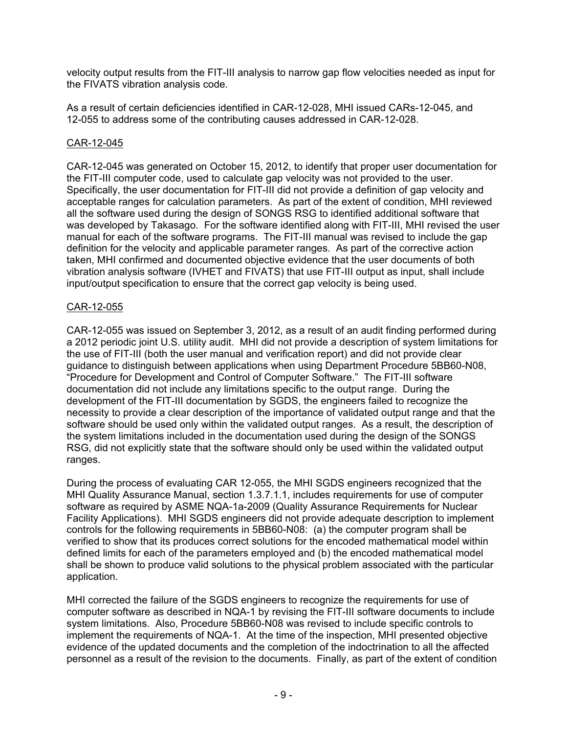velocity output results from the FIT-III analysis to narrow gap flow velocities needed as input for the FIVATS vibration analysis code.

As a result of certain deficiencies identified in CAR-12-028, MHI issued CARs-12-045, and 12-055 to address some of the contributing causes addressed in CAR-12-028.

### CAR-12-045

CAR-12-045 was generated on October 15, 2012, to identify that proper user documentation for the FIT-III computer code, used to calculate gap velocity was not provided to the user. Specifically, the user documentation for FIT-III did not provide a definition of gap velocity and acceptable ranges for calculation parameters. As part of the extent of condition, MHI reviewed all the software used during the design of SONGS RSG to identified additional software that was developed by Takasago. For the software identified along with FIT-III, MHI revised the user manual for each of the software programs. The FIT-III manual was revised to include the gap definition for the velocity and applicable parameter ranges. As part of the corrective action taken, MHI confirmed and documented objective evidence that the user documents of both vibration analysis software (IVHET and FIVATS) that use FIT-III output as input, shall include input/output specification to ensure that the correct gap velocity is being used.

### CAR-12-055

CAR-12-055 was issued on September 3, 2012, as a result of an audit finding performed during a 2012 periodic joint U.S. utility audit. MHI did not provide a description of system limitations for the use of FIT-III (both the user manual and verification report) and did not provide clear guidance to distinguish between applications when using Department Procedure 5BB60-N08, "Procedure for Development and Control of Computer Software." The FIT-III software documentation did not include any limitations specific to the output range. During the development of the FIT-III documentation by SGDS, the engineers failed to recognize the necessity to provide a clear description of the importance of validated output range and that the software should be used only within the validated output ranges. As a result, the description of the system limitations included in the documentation used during the design of the SONGS RSG, did not explicitly state that the software should only be used within the validated output ranges.

During the process of evaluating CAR 12-055, the MHI SGDS engineers recognized that the MHI Quality Assurance Manual, section 1.3.7.1.1, includes requirements for use of computer software as required by ASME NQA-1a-2009 (Quality Assurance Requirements for Nuclear Facility Applications). MHI SGDS engineers did not provide adequate description to implement controls for the following requirements in 5BB60-N08: (a) the computer program shall be verified to show that its produces correct solutions for the encoded mathematical model within defined limits for each of the parameters employed and (b) the encoded mathematical model shall be shown to produce valid solutions to the physical problem associated with the particular application.

MHI corrected the failure of the SGDS engineers to recognize the requirements for use of computer software as described in NQA-1 by revising the FIT-III software documents to include system limitations. Also, Procedure 5BB60-N08 was revised to include specific controls to implement the requirements of NQA-1. At the time of the inspection, MHI presented objective evidence of the updated documents and the completion of the indoctrination to all the affected personnel as a result of the revision to the documents. Finally, as part of the extent of condition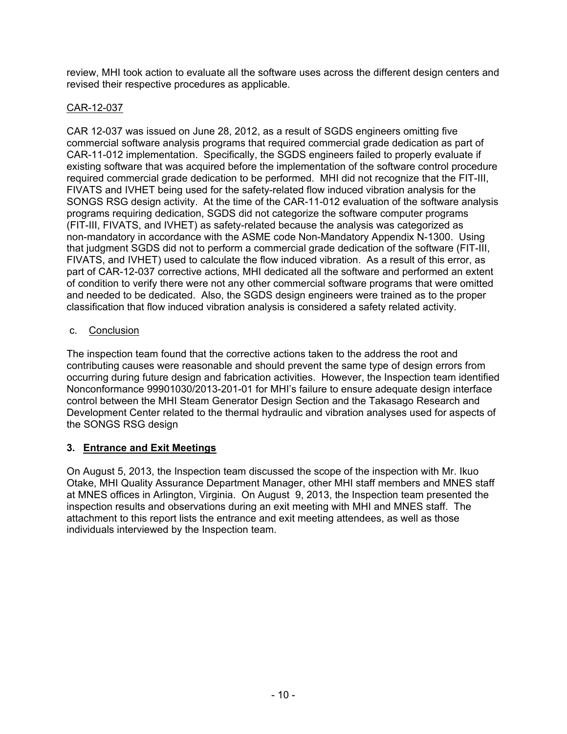review, MHI took action to evaluate all the software uses across the different design centers and revised their respective procedures as applicable.

### CAR-12-037

CAR 12-037 was issued on June 28, 2012, as a result of SGDS engineers omitting five commercial software analysis programs that required commercial grade dedication as part of CAR-11-012 implementation. Specifically, the SGDS engineers failed to properly evaluate if existing software that was acquired before the implementation of the software control procedure required commercial grade dedication to be performed. MHI did not recognize that the FIT-III, FIVATS and IVHET being used for the safety-related flow induced vibration analysis for the SONGS RSG design activity. At the time of the CAR-11-012 evaluation of the software analysis programs requiring dedication, SGDS did not categorize the software computer programs (FIT-III, FIVATS, and IVHET) as safety-related because the analysis was categorized as non-mandatory in accordance with the ASME code Non-Mandatory Appendix N-1300. Using that judgment SGDS did not to perform a commercial grade dedication of the software (FIT-III, FIVATS, and IVHET) used to calculate the flow induced vibration. As a result of this error, as part of CAR-12-037 corrective actions, MHI dedicated all the software and performed an extent of condition to verify there were not any other commercial software programs that were omitted and needed to be dedicated. Also, the SGDS design engineers were trained as to the proper classification that flow induced vibration analysis is considered a safety related activity.

# c. Conclusion

The inspection team found that the corrective actions taken to the address the root and contributing causes were reasonable and should prevent the same type of design errors from occurring during future design and fabrication activities. However, the Inspection team identified Nonconformance 99901030/2013-201-01 for MHI's failure to ensure adequate design interface control between the MHI Steam Generator Design Section and the Takasago Research and Development Center related to the thermal hydraulic and vibration analyses used for aspects of the SONGS RSG design

# **3. Entrance and Exit Meetings**

On August 5, 2013, the Inspection team discussed the scope of the inspection with Mr. Ikuo Otake, MHI Quality Assurance Department Manager, other MHI staff members and MNES staff at MNES offices in Arlington, Virginia. On August 9, 2013, the Inspection team presented the inspection results and observations during an exit meeting with MHI and MNES staff. The attachment to this report lists the entrance and exit meeting attendees, as well as those individuals interviewed by the Inspection team.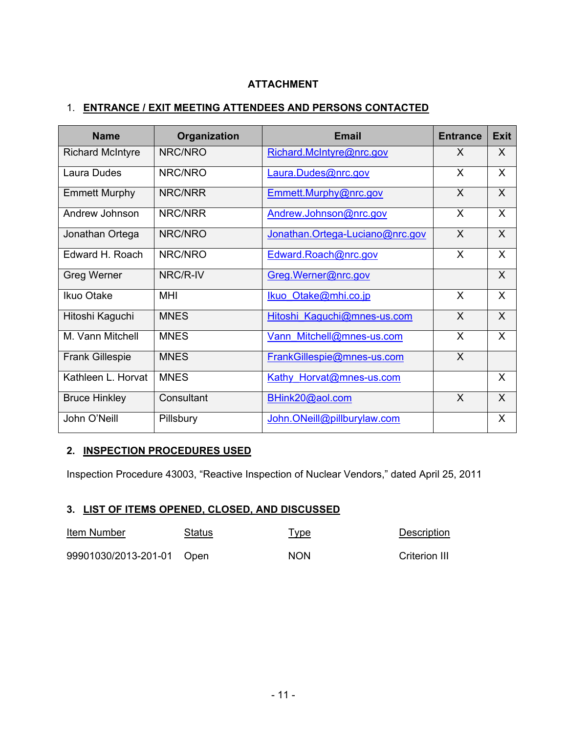### **ATTACHMENT**

### 1. **ENTRANCE / EXIT MEETING ATTENDEES AND PERSONS CONTACTED**

| <b>Name</b>             | Organization | <b>Email</b>                    | <b>Entrance</b> | <b>Exit</b> |
|-------------------------|--------------|---------------------------------|-----------------|-------------|
| <b>Richard McIntyre</b> | NRC/NRO      | Richard.McIntyre@nrc.gov        | X               | X           |
| Laura Dudes             | NRC/NRO      | Laura.Dudes@nrc.gov             | $\chi$          | X           |
| <b>Emmett Murphy</b>    | NRC/NRR      | Emmett.Murphy@nrc.gov           | $\mathsf{X}$    | $\sf X$     |
| Andrew Johnson          | NRC/NRR      | Andrew.Johnson@nrc.gov          | $\chi$          | X           |
| Jonathan Ortega         | NRC/NRO      | Jonathan.Ortega-Luciano@nrc.gov | $\sf X$         | $\sf X$     |
| Edward H. Roach         | NRC/NRO      | Edward.Roach@nrc.gov            | X               | X           |
| Greg Werner             | NRC/R-IV     | Greg. Werner@nrc.gov            |                 | X           |
| Ikuo Otake              | MHI          | Ikuo Otake@mhi.co.jp            | $\mathsf{X}$    | X           |
| Hitoshi Kaguchi         | <b>MNES</b>  | Hitoshi Kaguchi@mnes-us.com     | $\mathsf{X}$    | X           |
| M. Vann Mitchell        | <b>MNES</b>  | Vann Mitchell@mnes-us.com       | $\sf X$         | X           |
| <b>Frank Gillespie</b>  | <b>MNES</b>  | FrankGillespie@mnes-us.com      | $\mathsf{X}$    |             |
| Kathleen L. Horvat      | <b>MNES</b>  | Kathy Horvat@mnes-us.com        |                 | X           |
| <b>Bruce Hinkley</b>    | Consultant   | BHink20@aol.com                 | $\mathsf{X}$    | $\sf X$     |
| John O'Neill            | Pillsbury    | John.ONeill@pillburylaw.com     |                 | X           |

### **2. INSPECTION PROCEDURES USED**

Inspection Procedure 43003, "Reactive Inspection of Nuclear Vendors," dated April 25, 2011

### **3. LIST OF ITEMS OPENED, CLOSED, AND DISCUSSED**

| Item Number               | Status | <u>Type</u> | Description          |
|---------------------------|--------|-------------|----------------------|
| 99901030/2013-201-01 Open |        | <b>NON</b>  | <b>Criterion III</b> |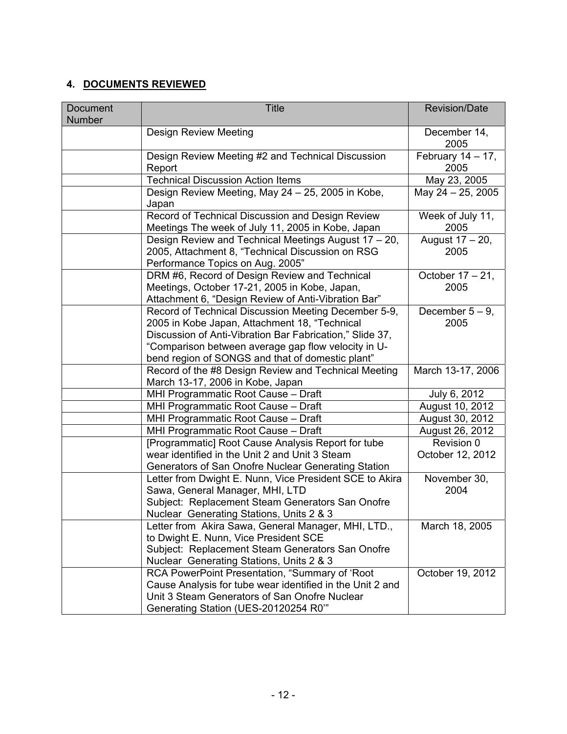# **4. DOCUMENTS REVIEWED**

| Document<br>Number | <b>Title</b>                                                                                                                                                                                                                                                                 | <b>Revision/Date</b>           |
|--------------------|------------------------------------------------------------------------------------------------------------------------------------------------------------------------------------------------------------------------------------------------------------------------------|--------------------------------|
|                    | <b>Design Review Meeting</b>                                                                                                                                                                                                                                                 | December 14,<br>2005           |
|                    | Design Review Meeting #2 and Technical Discussion<br>Report                                                                                                                                                                                                                  | February $14 - 17$ ,<br>2005   |
|                    | <b>Technical Discussion Action Items</b>                                                                                                                                                                                                                                     | May 23, 2005                   |
|                    | Design Review Meeting, May 24 - 25, 2005 in Kobe,<br>Japan                                                                                                                                                                                                                   | May 24 - 25, 2005              |
|                    | Record of Technical Discussion and Design Review<br>Meetings The week of July 11, 2005 in Kobe, Japan                                                                                                                                                                        | Week of July 11,<br>2005       |
|                    | Design Review and Technical Meetings August 17 - 20,<br>2005, Attachment 8, "Technical Discussion on RSG<br>Performance Topics on Aug. 2005"                                                                                                                                 | August 17 - 20,<br>2005        |
|                    | DRM #6, Record of Design Review and Technical<br>Meetings, October 17-21, 2005 in Kobe, Japan,<br>Attachment 6, "Design Review of Anti-Vibration Bar"                                                                                                                        | October 17 - 21,<br>2005       |
|                    | Record of Technical Discussion Meeting December 5-9,<br>2005 in Kobe Japan, Attachment 18, "Technical<br>Discussion of Anti-Vibration Bar Fabrication," Slide 37,<br>"Comparison between average gap flow velocity in U-<br>bend region of SONGS and that of domestic plant" | December $5-9$ ,<br>2005       |
|                    | Record of the #8 Design Review and Technical Meeting<br>March 13-17, 2006 in Kobe, Japan                                                                                                                                                                                     | March 13-17, 2006              |
|                    | MHI Programmatic Root Cause - Draft                                                                                                                                                                                                                                          | July 6, 2012                   |
|                    | MHI Programmatic Root Cause - Draft                                                                                                                                                                                                                                          | August 10, 2012                |
|                    | MHI Programmatic Root Cause - Draft                                                                                                                                                                                                                                          | August 30, 2012                |
|                    | MHI Programmatic Root Cause - Draft                                                                                                                                                                                                                                          | August 26, 2012                |
|                    | [Programmatic] Root Cause Analysis Report for tube<br>wear identified in the Unit 2 and Unit 3 Steam<br>Generators of San Onofre Nuclear Generating Station                                                                                                                  | Revision 0<br>October 12, 2012 |
|                    | Letter from Dwight E. Nunn, Vice President SCE to Akira<br>Sawa, General Manager, MHI, LTD<br>Subject: Replacement Steam Generators San Onofre<br>Nuclear Generating Stations, Units 2 & 3                                                                                   | November 30,<br>2004           |
|                    | Letter from Akira Sawa, General Manager, MHI, LTD.,<br>to Dwight E. Nunn, Vice President SCE<br>Subject: Replacement Steam Generators San Onofre<br>Nuclear Generating Stations, Units 2 & 3                                                                                 | March 18, 2005                 |
|                    | RCA PowerPoint Presentation, "Summary of 'Root<br>Cause Analysis for tube wear identified in the Unit 2 and<br>Unit 3 Steam Generators of San Onofre Nuclear<br>Generating Station (UES-20120254 R0"                                                                         | October 19, 2012               |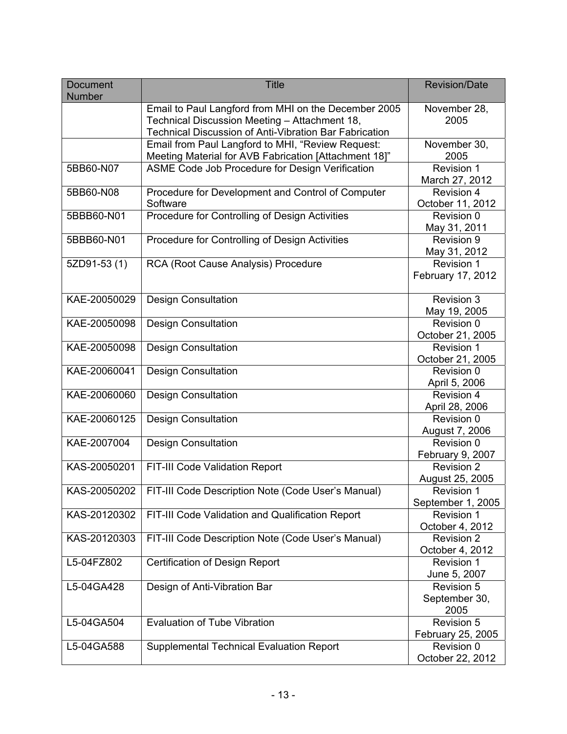| Document<br><b>Number</b> | <b>Title</b>                                                                                                                                                           | <b>Revision/Date</b>                   |
|---------------------------|------------------------------------------------------------------------------------------------------------------------------------------------------------------------|----------------------------------------|
|                           | Email to Paul Langford from MHI on the December 2005<br>Technical Discussion Meeting - Attachment 18,<br><b>Technical Discussion of Anti-Vibration Bar Fabrication</b> | November 28,<br>2005                   |
|                           | Email from Paul Langford to MHI, "Review Request:<br>Meeting Material for AVB Fabrication [Attachment 18]"                                                             | November 30,<br>2005                   |
| 5BB60-N07                 | ASME Code Job Procedure for Design Verification                                                                                                                        | Revision 1<br>March 27, 2012           |
| 5BB60-N08                 | Procedure for Development and Control of Computer<br>Software                                                                                                          | <b>Revision 4</b><br>October 11, 2012  |
| 5BBB60-N01                | Procedure for Controlling of Design Activities                                                                                                                         | Revision 0<br>May 31, 2011             |
| 5BBB60-N01                | Procedure for Controlling of Design Activities                                                                                                                         | Revision 9<br>May 31, 2012             |
| 5ZD91-53(1)               | RCA (Root Cause Analysis) Procedure                                                                                                                                    | Revision 1<br>February 17, 2012        |
| KAE-20050029              | <b>Design Consultation</b>                                                                                                                                             | Revision 3<br>May 19, 2005             |
| KAE-20050098              | <b>Design Consultation</b>                                                                                                                                             | Revision 0<br>October 21, 2005         |
| KAE-20050098              | <b>Design Consultation</b>                                                                                                                                             | Revision 1<br>October 21, 2005         |
| KAE-20060041              | <b>Design Consultation</b>                                                                                                                                             | Revision 0<br>April 5, 2006            |
| KAE-20060060              | <b>Design Consultation</b>                                                                                                                                             | <b>Revision 4</b><br>April 28, 2006    |
| KAE-20060125              | <b>Design Consultation</b>                                                                                                                                             | Revision 0<br>August 7, 2006           |
| KAE-2007004               | <b>Design Consultation</b>                                                                                                                                             | Revision 0<br>February 9, 2007         |
| KAS-20050201              | FIT-III Code Validation Report                                                                                                                                         | <b>Revision 2</b><br>August 25, 2005   |
| KAS-20050202              | FIT-III Code Description Note (Code User's Manual)                                                                                                                     | <b>Revision 1</b><br>September 1, 2005 |
| KAS-20120302              | FIT-III Code Validation and Qualification Report                                                                                                                       | <b>Revision 1</b><br>October 4, 2012   |
| KAS-20120303              | FIT-III Code Description Note (Code User's Manual)                                                                                                                     | Revision 2<br>October 4, 2012          |
| L5-04FZ802                | <b>Certification of Design Report</b>                                                                                                                                  | Revision 1<br>June 5, 2007             |
| L5-04GA428                | Design of Anti-Vibration Bar                                                                                                                                           | Revision 5<br>September 30,<br>2005    |
| L5-04GA504                | <b>Evaluation of Tube Vibration</b>                                                                                                                                    | Revision 5<br>February 25, 2005        |
| L5-04GA588                | <b>Supplemental Technical Evaluation Report</b>                                                                                                                        | Revision 0<br>October 22, 2012         |